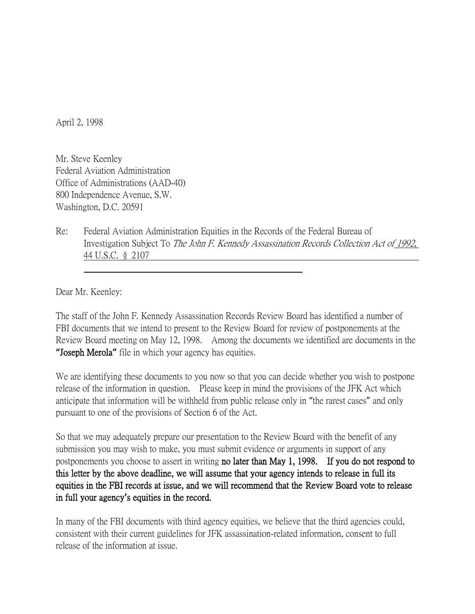April 2, 1998

Mr. Steve Keenley Federal Aviation Administration Office of Administrations (AAD-40) 800 Independence Avenue, S.W. Washington, D.C. 20591

Re: Federal Aviation Administration Equities in the Records of the Federal Bureau of Investigation Subject To The John F. Kennedy Assassination Records Collection Act of 1992, 44 U.S.C. § 2107

Dear Mr. Keenley:

The staff of the John F. Kennedy Assassination Records Review Board has identified a number of FBI documents that we intend to present to the Review Board for review of postponements at the Review Board meeting on May 12, 1998. Among the documents we identified are documents in the **"**Joseph Merola**"** file in which your agency has equities.

We are identifying these documents to you now so that you can decide whether you wish to postpone release of the information in question. Please keep in mind the provisions of the JFK Act which anticipate that information will be withheld from public release only in "the rarest cases" and only pursuant to one of the provisions of Section 6 of the Act.

So that we may adequately prepare our presentation to the Review Board with the benefit of any submission you may wish to make, you must submit evidence or arguments in support of any postponements you choose to assert in writing no later than May 1, 1998. If you do not respond to this letter by the above deadline, we will assume that your agency intends to release in full its equities in the FBI records at issue, and we will recommend that the Review Board vote to release in full your agency**'**s equities in the record.

In many of the FBI documents with third agency equities, we believe that the third agencies could, consistent with their current guidelines for JFK assassination-related information, consent to full release of the information at issue.